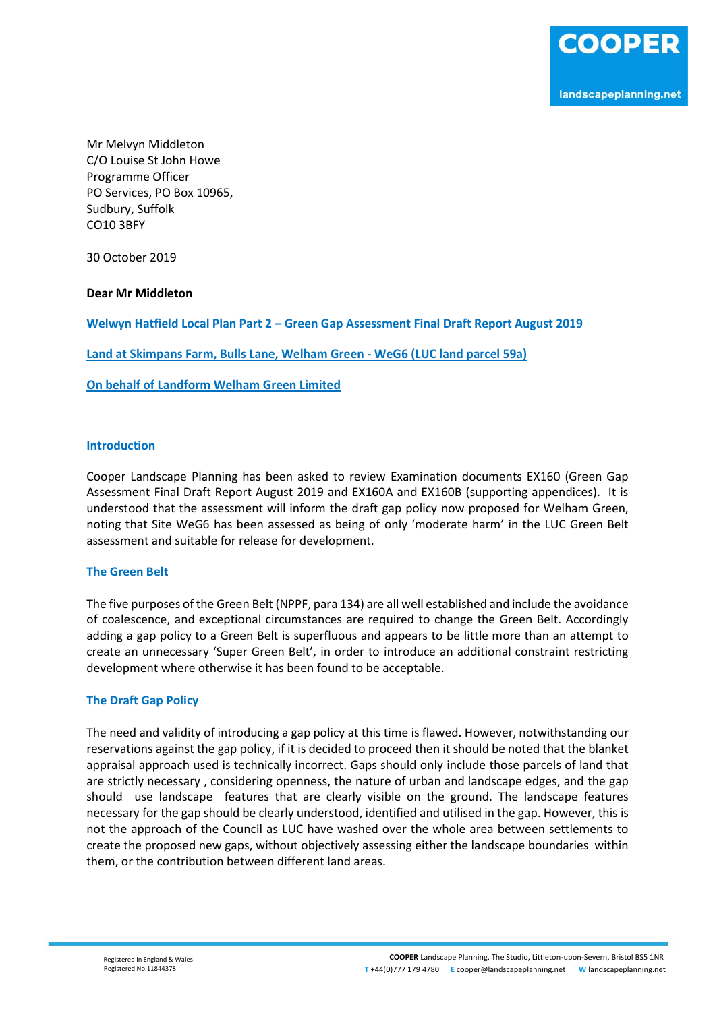Mr Melvyn Middleton C/O Louise St John Howe Programme Officer PO Services, PO Box 10965, Sudbury, Suffolk CO10 3BFY

30 October 2019

**Dear Mr Middleton**

**Welwyn Hatfield Local Plan Part 2 – Green Gap Assessment Final Draft Report August 2019**

**Land at Skimpans Farm, Bulls Lane, Welham Green - WeG6 (LUC land parcel 59a)**

**On behalf of Landform Welham Green Limited** 

## **Introduction**

Cooper Landscape Planning has been asked to review Examination documents EX160 (Green Gap Assessment Final Draft Report August 2019 and EX160A and EX160B (supporting appendices). It is understood that the assessment will inform the draft gap policy now proposed for Welham Green, noting that Site WeG6 has been assessed as being of only 'moderate harm' in the LUC Green Belt assessment and suitable for release for development.

## **The Green Belt**

The five purposes of the Green Belt (NPPF, para 134) are all well established and include the avoidance of coalescence, and exceptional circumstances are required to change the Green Belt. Accordingly adding a gap policy to a Green Belt is superfluous and appears to be little more than an attempt to create an unnecessary 'Super Green Belt', in order to introduce an additional constraint restricting development where otherwise it has been found to be acceptable.

## **The Draft Gap Policy**

The need and validity of introducing a gap policy at this time is flawed. However, notwithstanding our reservations against the gap policy, if it is decided to proceed then it should be noted that the blanket appraisal approach used is technically incorrect. Gaps should only include those parcels of land that are strictly necessary , considering openness, the nature of urban and landscape edges, and the gap should use landscape features that are clearly visible on the ground. The landscape features necessary for the gap should be clearly understood, identified and utilised in the gap. However, this is not the approach of the Council as LUC have washed over the whole area between settlements to create the proposed new gaps, without objectively assessing either the landscape boundaries within them, or the contribution between different land areas.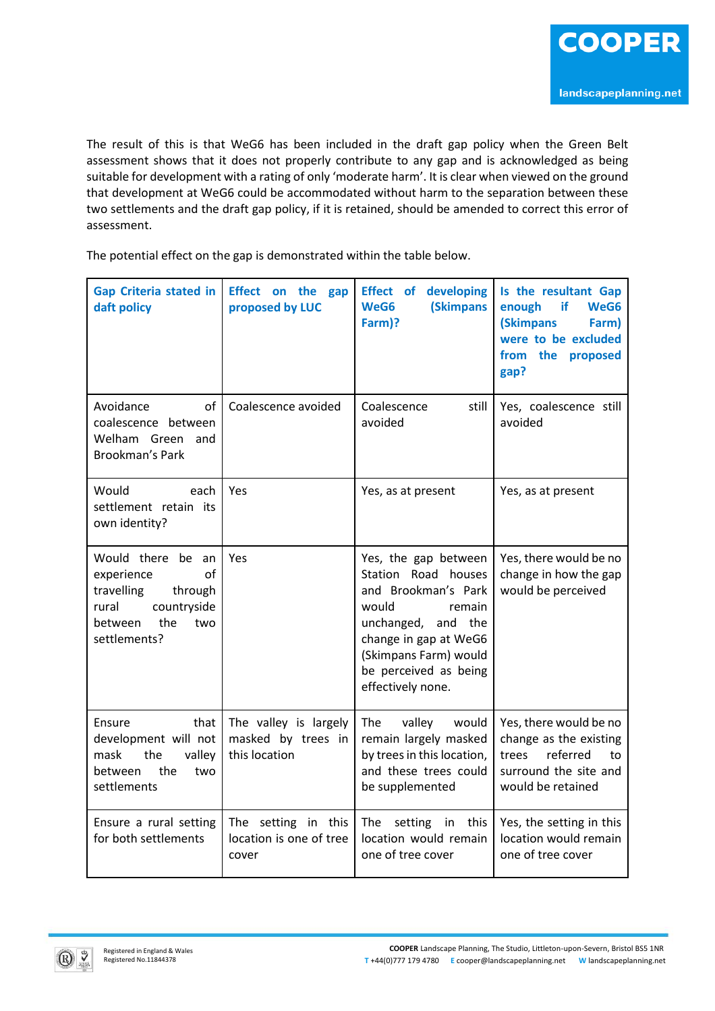The result of this is that WeG6 has been included in the draft gap policy when the Green Belt assessment shows that it does not properly contribute to any gap and is acknowledged as being suitable for development with a rating of only 'moderate harm'. It is clear when viewed on the ground that development at WeG6 could be accommodated without harm to the separation between these two settlements and the draft gap policy, if it is retained, should be amended to correct this error of assessment.

The potential effect on the gap is demonstrated within the table below.

| <b>Gap Criteria stated in</b><br>daft policy                                                                                    | Effect on the gap<br>proposed by LUC                         | <b>Effect of developing</b><br><b>(Skimpans</b><br>WeG6<br>Farm)?                                                                                                                                           | Is the resultant Gap<br>if<br>enough<br>WeG6<br><b>(Skimpans</b><br>Farm)<br>were to be excluded<br>from the<br>proposed<br>gap? |
|---------------------------------------------------------------------------------------------------------------------------------|--------------------------------------------------------------|-------------------------------------------------------------------------------------------------------------------------------------------------------------------------------------------------------------|----------------------------------------------------------------------------------------------------------------------------------|
| Avoidance<br>of<br>coalescence between<br>Welham Green and<br><b>Brookman's Park</b>                                            | Coalescence avoided                                          | Coalescence<br>still<br>avoided                                                                                                                                                                             | Yes, coalescence still<br>avoided                                                                                                |
| Would<br>each<br>settlement retain its<br>own identity?                                                                         | Yes                                                          | Yes, as at present                                                                                                                                                                                          | Yes, as at present                                                                                                               |
| Would there be an<br>of<br>experience<br>travelling<br>through<br>countryside<br>rural<br>the<br>two<br>between<br>settlements? | Yes                                                          | Yes, the gap between<br>Station Road houses<br>and Brookman's Park<br>would<br>remain<br>unchanged, and the<br>change in gap at WeG6<br>(Skimpans Farm) would<br>be perceived as being<br>effectively none. | Yes, there would be no<br>change in how the gap<br>would be perceived                                                            |
| Ensure<br>that<br>development will not<br>the<br>valley<br>mask<br>the<br>between<br>two<br>settlements                         | The valley is largely<br>masked by trees in<br>this location | valley<br>The<br>would<br>remain largely masked<br>by trees in this location,<br>and these trees could<br>be supplemented                                                                                   | Yes, there would be no<br>change as the existing<br>referred<br>trees<br>to<br>surround the site and<br>would be retained        |
| Ensure a rural setting<br>for both settlements                                                                                  | The setting in this<br>location is one of tree<br>cover      | this<br>The setting<br>in<br>location would remain<br>one of tree cover                                                                                                                                     | Yes, the setting in this<br>location would remain<br>one of tree cover                                                           |